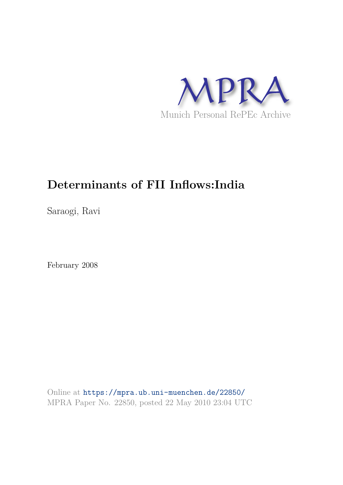

# **Determinants of FII Inflows:India**

Saraogi, Ravi

February 2008

Online at https://mpra.ub.uni-muenchen.de/22850/ MPRA Paper No. 22850, posted 22 May 2010 23:04 UTC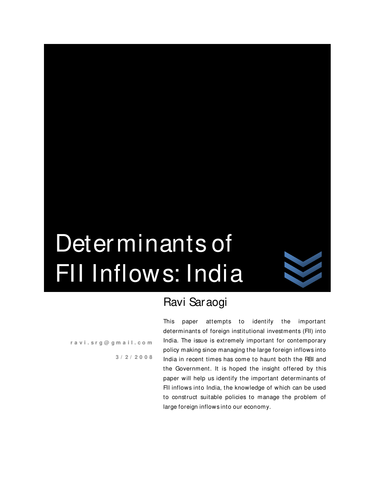

# Ravi Saraogi

**r a v i . s r g @ g m a i l . c o m**

**3 / 2 / 2 0 0 8**

Determinants of

FII Inflows: India

This paper attempts to identify the important determinants of foreign institutional investments (FII) into India. The issue is extremely important for contemporary policy making since managing the large foreign inflows into India in recent times has come to haunt both the RBI and the Government. It is hoped the insight offered by this paper will help us identify the important determinants of FII inflows into India, the knowledge of which can be used to construct suitable policies to manage the problem of large foreign inflows into our economy.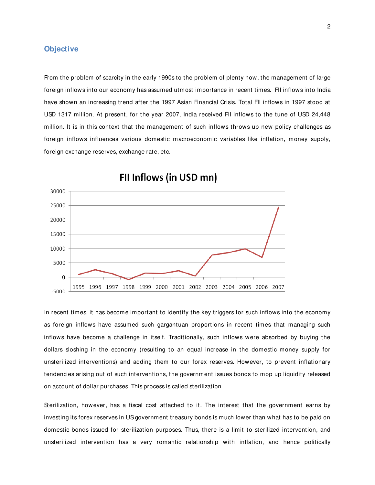## **Objective**

From the problem of scarcity in the early 1990s to the problem of plenty now, the management of large foreign inflows into our economy has assumed utmost importance in recent times. FII inflows into India have shown an increasing trend after the 1997 Asian Financial Crisis. Total FII inflows in 1997 stood at USD 1317 million. At present, for the year 2007, India received FII inflows to the tune of USD 24,448 million. It is in this context that the management of such inflows throws up new policy challenges as foreign inflows influences various domestic macroeconomic variables like inflation, money supply, foreign exchange reserves, exchange rate, etc.



FII Inflows (in USD mn)

In recent times, it has become important to identify the key triggers for such inflows into the economy as foreign inflows have assumed such gargantuan proportions in recent times that managing such inflows have become a challenge in itself. Traditionally, such inflows were absorbed by buying the dollars sloshing in the economy (resulting to an equal increase in the domestic money supply for unsterilized interventions) and adding them to our forex reserves. However, to prevent inflationary tendencies arising out of such interventions, the government issues bonds to mop up liquidity released on account of dollar purchases. This process is called sterilization.

Sterilization, however, has a fiscal cost attached to it. The interest that the government earns by investing its forex reserves in US government treasury bonds is much lower than what has to be paid on domestic bonds issued for sterilization purposes. Thus, there is a limit to sterilized intervention, and unsterilized intervention has a very romantic relationship with inflation, and hence politically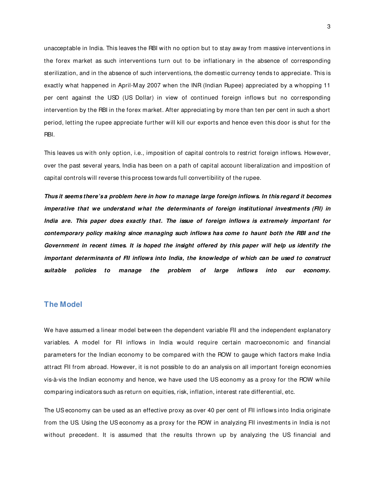unacceptable in India. This leaves the RBI with no option but to stay away from massive interventions in the forex market as such interventions turn out to be inflationary in the absence of corresponding sterilization, and in the absence of such interventions, the domestic currency tends to appreciate. This is exactly what happened in April-M ay 2007 when the INR (Indian Rupee) appreciated by a whopping 11 per cent against the USD (US Dollar) in view of continued foreign inflows but no corresponding intervention by the RBI in the forex market. After appreciating by more than ten per cent in such a short period, letting the rupee appreciate further will kill our exports and hence even this door is shut for the RBI.

This leaves us with only option, i.e., imposition of capital controls to restrict foreign inflows. However, over the past several years, India has been on a path of capital account liberalization and imposition of capital controls will reverse this process towards full convertibility of the rupee.

**Thus it seems there's a problem here in how to manage large foreign inflows. In this regard it becomes imperative that we understand what the determinants of foreign institutional investments (FII) in India are. This paper does exactly that. The issue of foreign inflows is extremely important for contemporary policy making since managing such inflows has come to haunt both the RBI and the Government in recent times. It is hoped the insight offered by this paper will help us identify the important determinants of FII inflows into India, the knowledge of which can be used to construct suitable policies to manage the problem of large inflows into our economy.** 

## **The Model**

We have assumed a linear model between the dependent variable FII and the independent explanatory variables. A model for FII inflows in India would require certain macroeconomic and financial parameters for the Indian economy to be compared with the ROW to gauge which factors make India attract FII from abroad. However, it is not possible to do an analysis on all important foreign economies vis-à-vis the Indian economy and hence, we have used the US economy as a proxy for the ROW while comparing indicators such as return on equities, risk, inflation, interest rate differential, etc.

The US economy can be used as an effective proxy as over 40 per cent of FII inflows into India originate from the US. Using the US economy as a proxy for the ROW in analyzing FII investments in India is not without precedent. It is assumed that the results thrown up by analyzing the US financial and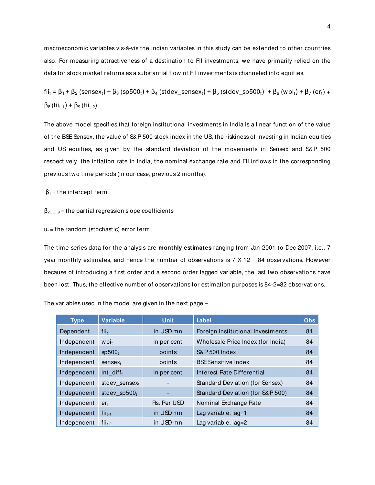macroeconomic variables vis-à-vis the Indian variables in this study can be extended to other countries also. For measuring attractiveness of a destination to FII investments, we have primarily relied on the data for stock market returns as a substantial flow of FII investments is channeled into equities.

 $fii_1 = \beta_1 + \beta_2$  (sensex<sub>t</sub>) +  $\beta_3$  (sp500<sub>t</sub>) +  $\beta_4$  (stdev\_sensex<sub>t</sub>) +  $\beta_5$  (stdev\_sp500<sub>t</sub>) +  $\beta_6$  (wpi<sub>t</sub>) +  $\beta_7$  (er<sub>t</sub>) +  $β_8$  (fii<sub>t-1</sub>) +  $β_9$  (fii<sub>t-2</sub>)

The above model specifies that foreign institutional investments in India is a linear function of the value of the BSE Sensex, the value of S&P 500 stock index in the US, the riskiness of investing in Indian equities and US equities, as given by the standard deviation of the movements in Sensex and S&P 500 respectively, the inflation rate in India, the nominal exchange rate and FII inflows in the corresponding previous two time periods (in our case, previous 2 months).

 $\beta_1$  = the intercept term

 $\beta$ <sub>2…….9</sub> = the partial regression slope coefficients

 $u_t$  = the random (stochastic) error term

The time series data for the analysis are **monthly estimates** ranging from Jan 2001 to Dec 2007, i.e., 7 year monthly estimates, and hence the number of observations is  $7 \times 12 = 84$  observations. However because of introducing a first order and a second order lagged variable, the last two observations have been lost. Thus, the effective number of observations for estimation purposes is 84-2=82 observations.

| <b>Type</b> | <b>Variable</b>       | <b>Unit</b> | Label                             | <b>Obs</b> |
|-------------|-----------------------|-------------|-----------------------------------|------------|
| Dependent   | $fii_t$               | in USD mn   | Foreign Institutional Investments | 84         |
| Independent | $wpi_t$               | in per cent | Wholesale Price Index (for India) | 84         |
| Independent | sp500 <sub>t</sub>    | points      | <b>S&amp;P 500 Index</b>          | 84         |
| Independent | $sensex_t$            | points      | <b>BSE Sensitive Index</b>        | 84         |
| Independent | int diff <sub>t</sub> | in per cent | Interest Rate Differential        | 84         |
| Independent | stdev sensex $t$      |             | Standard Deviation (for Sensex)   | 84         |
| Independent | stdev $sp500t$        |             | Standard Deviation (for S&P 500)  | 84         |
| Independent | $er_{t}$              | Rs. Per USD | Nominal Exchange Rate             | 84         |
| Independent | $fii_{t-1}$           | in USD mn   | Lag variable, $lag=1$             | 84         |
| Independent | $fii_{1,2}$           | in USD mn   | Lag variable, $lag = 2$           | 84         |

The variables used in the model are given in the next page –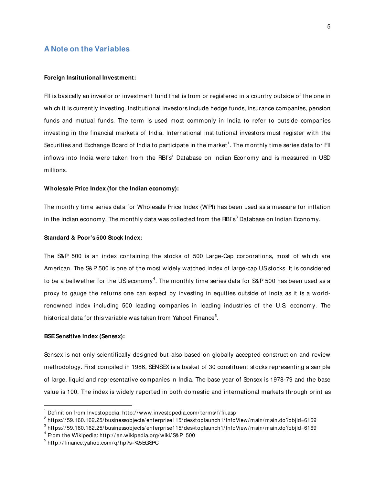## **A Note on the Variables**

#### **Foreign Institutional Investment:**

FII is basically an investor or investment fund that is from or registered in a country outside of the one in which it is currently investing. Institutional investors include hedge funds, insurance companies, pension funds and mutual funds. The term is used most commonly in India to refer to outside companies investing in the financial markets of India. International institutional investors must register with the Securities and Exchange Board of India to participate in the market $^{\rm 1}.$  The monthly time series data for FII inflows into India were taken from the RBI's $^2$  Database on Indian Economy and is measured in USD millions.

## **Wholesale Price Index (for the Indian economy):**

The monthly time series data for Wholesale Price Index (WPI) has been used as a measure for inflation in the Indian economy. The monthly data was collected from the RBI's $^3$  Database on Indian Economy.

#### **Standard & Poor's 500 Stock Index:**

The S&P 500 is an index containing the stocks of 500 Large-Cap corporations, most of which are American. The S&P 500 is one of the most widely watched index of large-cap US stocks. It is considered to be a bellwether for the US economy $^4.$  The monthly time series data for S&P 500 has been used as a proxy to gauge the returns one can expect by investing in equities outside of India as it is a worldrenowned index including 500 leading companies in leading industries of the U.S. economy. The historical data for this variable was taken from Yahoo! Finance $^5$ .

#### **BSE Sensitive Index (Sensex):**

-

Sensex is not only scientifically designed but also based on globally accepted construction and review methodology. First compiled in 1986, SENSEX is a basket of 30 constituent stocks representing a sample of large, liquid and representative companies in India. The base year of Sensex is 1978-79 and the base value is 100. The index is widely reported in both domestic and international markets through print as

<sup>1</sup> Definition from Investopedia: http:/ / www.investopedia.com/ terms/ f/ fii.asp

 $^{\text{2}}$  https://59.160.162.25/businessobjects/enterprise115/desktoplaunch1/InfoView/main/main.do?objId=6169  $\,$ 

 $^3$  https://59.160.162.25/businessobjects/enterprise115/desktoplaunch1/InfoView/main/main.do?objId=6169  $\,$ 

 $^4$  From the Wikipedia: http://en.wikipedia.org/wiki/S&P\_500

<sup>5</sup> http:/ / finance.yahoo.com/ q/ hp?s=%5EGSPC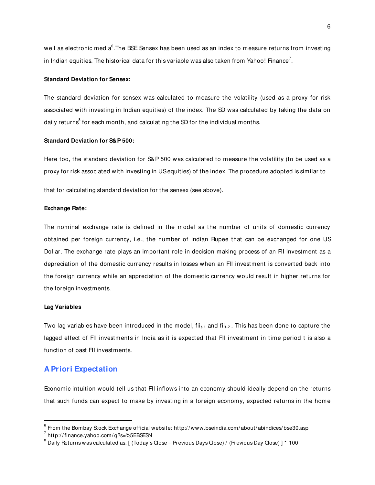well as electronic media $^{\rm 6}.$ The BSE Sensex has been used as an index to measure returns from investing in Indian equities. The historical data for this variable was also taken from Yahoo! Finance $^7\!$  .

#### **Standard Deviation for Sensex:**

The standard deviation for sensex was calculated to measure the volatility (used as a proxy for risk associated with investing in Indian equities) of the index. The SD was calculated by taking the data on daily returns $^{\rm 8}$  for each month, and calculating the SD for the individual months.

#### **Standard Deviation for S&P 500:**

Here too, the standard deviation for S&P 500 was calculated to measure the volatility (to be used as a proxy for risk associated with investing in US equities) of the index. The procedure adopted is similar to

that for calculating standard deviation for the sensex (see above).

#### **Exchange Rate:**

The nominal exchange rate is defined in the model as the number of units of domestic currency obtained per foreign currency, i.e., the number of Indian Rupee that can be exchanged for one US Dollar. The exchange rate plays an important role in decision making process of an FII investment as a depreciation of the domestic currency results in losses when an FII investment is converted back into the foreign currency while an appreciation of the domestic currency would result in higher returns for the foreign investments.

#### **Lag Variables**

-

Two lag variables have been introduced in the model,  $f_{i_1,i_1}$  and  $f_{i_1,i_2}$ . This has been done to capture the lagged effect of FII investments in India as it is expected that FII investment in time period t is also a function of past FII investments.

## **A Priori Expectation**

Economic intuition would tell us that FII inflows into an economy should ideally depend on the returns that such funds can expect to make by investing in a foreign economy, expected returns in the home

 $^6$  From the Bombay Stock Exchange official website: http://www.bseindia.com/about/abindices/bse30.asp

 $^7$  http://finance.yahoo.com/q?s=%5EBSESN

 $^8$  Daily Returns was calculated as: [ (Today's Close – Previous Days Close) / (Previous Day Close) ] \* 100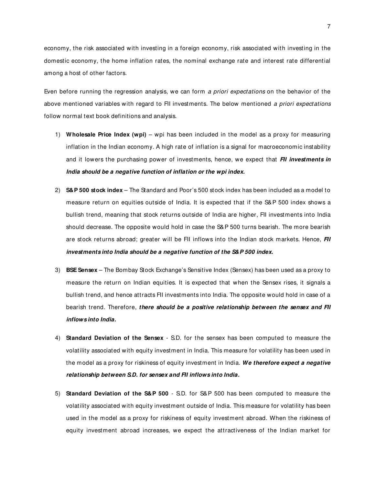economy, the risk associated with investing in a foreign economy, risk associated with investing in the domestic economy, the home inflation rates, the nominal exchange rate and interest rate differential among a host of other factors.

Even before running the regression analysis, we can form a priori expectations on the behavior of the above mentioned variables with regard to FII investments. The below mentioned a priori expectations follow normal text book definitions and analysis.

- 1) **Wholesale Price Index (wpi)** wpi has been included in the model as a proxy for measuring inflation in the Indian economy. A high rate of inflation is a signal for macroeconomic instability and it lowers the purchasing power of investments, hence, we expect that **FII investments in India should be a negative function of inflation or the wpi index.**
- 2) **S&P 500 stock index** The Standard and Poor's 500 stock index has been included as a model to measure return on equities outside of India. It is expected that if the S&P 500 index shows a bullish trend, meaning that stock returns outside of India are higher, FII investments into India should decrease. The opposite would hold in case the S&P 500 turns bearish. The more bearish are stock returns abroad; greater will be FII inflows into the Indian stock markets. Hence, **FII investments into India should be a negative function of the S&P 500 index.**
- 3) **BSE Sensex**  The Bombay Stock Exchange's Sensitive Index (Sensex) has been used as a proxy to measure the return on Indian equities. It is expected that when the Sensex rises, it signals a bullish trend, and hence attracts FII investments into India. The opposite would hold in case of a bearish trend. Therefore, **there should be a positive relationship between the sensex and FII inflows into India.**
- 4) **Standard Deviation of the Sensex**  S.D. for the sensex has been computed to measure the volatility associated with equity investment in India. This measure for volatility has been used in the model as a proxy for riskiness of equity investment in India. **We therefore expect a negative relationship between S.D. for sensex and FII inflows into India.**
- 5) **Standard Deviation of the S&P 500**  S.D. for S&P 500 has been computed to measure the volatility associated with equity investment outside of India. This measure for volatility has been used in the model as a proxy for riskiness of equity investment abroad. When the riskiness of equity investment abroad increases, we expect the attractiveness of the Indian market for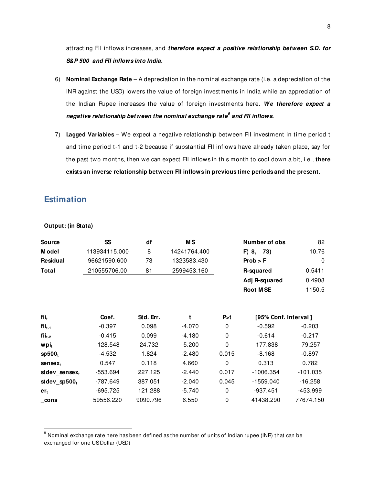attracting FII inflows increases, and **therefore expect a positive relationship between S.D. for S&P 500 and FII inflows into India.**

- 6) **Nominal Exchange Rate** A depreciation in the nominal exchange rate (i.e. a depreciation of the INR against the USD) lowers the value of foreign investments in India while an appreciation of the Indian Rupee increases the value of foreign investments here. **We therefore expect a negative relationship between the nominal exchange rate<sup>9</sup> and FII inflows.**
- 7) **Lagged Variables** We expect a negative relationship between FII investment in time period t and time period t-1 and t-2 because if substantial FII inflows have already taken place, say for the past two months, then we can expect FII inflows in this month to cool down a bit, i.e., **there exists an inverse relationship between FII inflows in previous time periods and the present.**

## **Estimation**

**Output: (in Stata)** 

j

| Source           | <b>SS</b>     | df        | <b>MS</b>    |             | Number of obs        | 82          |
|------------------|---------------|-----------|--------------|-------------|----------------------|-------------|
| M odel           | 113934115.000 | 8         | 14241764.400 |             | F(8, 73)             | 10.76       |
| Residual         | 96621590.600  | 73        | 1323583.430  |             | Prob > F             | $\mathbf 0$ |
| Total            | 210555706.00  | 81        | 2599453.160  |             | R-squared            | 0.5411      |
|                  |               |           |              |             | Adj R-squared        | 0.4908      |
|                  |               |           |              |             | <b>Root MSE</b>      | 1150.5      |
| fii <sub>t</sub> | Coef.         | Std. Err. | t            | P > t       | [95% Conf. Interval] |             |
| $fii_{t-1}$      | $-0.397$      | 0.098     | $-4.070$     | 0           | $-0.592$             | $-0.203$    |
| $fii_{t-2}$      | $-0.415$      | 0.099     | $-4.180$     | $\mathbf 0$ | $-0.614$             | $-0.217$    |
| wpi <sub>t</sub> | $-128.548$    | 24.732    | $-5.200$     | $\mathbf 0$ | $-177.838$           | $-79.257$   |
| $s$ p500 $t$     | $-4.532$      | 1.824     | $-2.480$     | 0.015       | $-8.168$             | $-0.897$    |
| $sensex_t$       | 0.547         | 0.118     | 4.660        | $\mathbf 0$ | 0.313                | 0.782       |
| stdev_sensext    | -553.694      | 227.125   | $-2.440$     | 0.017       | $-1006.354$          | $-101.035$  |
| st dev_sp $500t$ | -787.649      | 387.051   | $-2.040$     | 0.045       | -1559.040            | $-16.258$   |
| $er_{t}$         | -695.725      | 121.288   | $-5.740$     | $\Omega$    | $-937.451$           | -453.999    |
| cons             | 59556.220     | 9090.796  | 6.550        | 0           | 41438.290            | 77674.150   |

 $^9$  Nominal exchange rate here has been defined as the number of units of Indian rupee (INR) that can be exchanged for one US Dollar (USD)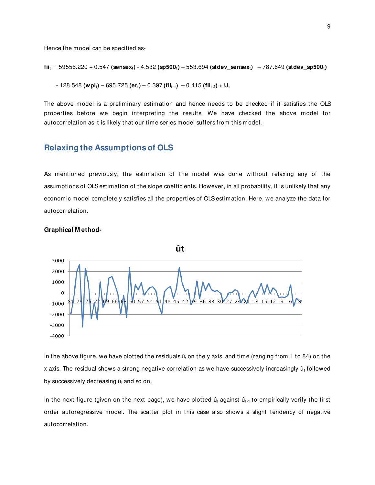Hence the model can be specified as-

$$
fii_t = 59556.220 + 0.547 \text{ (sensext)} - 4.532 \text{ (sp500t)} - 553.694 \text{ (stdev\_sensext)} - 787.649 \text{ (stdev\_sp500t)}
$$

- 128.548 **(wpit)** – 695.725 **(ert)** – 0.397 **(fiit-1)** – 0.415 **(fiit-2) + U<sup>t</sup>**

The above model is a preliminary estimation and hence needs to be checked if it satisfies the OLS properties before we begin interpreting the results. We have checked the above model for autocorrelation as it is likely that our time series model suffers from this model.

## **Relaxing the Assumptions of OLS**

As mentioned previously, the estimation of the model was done without relaxing any of the assumptions of OLS estimation of the slope coefficients. However, in all probability, it is unlikely that any economic model completely satisfies all the properties of OLS estimation. Here, we analyze the data for autocorrelation.



#### **Graphical M ethod-**

In the above figure, we have plotted the residuals  $\hat{u}_t$  on the y axis, and time (ranging from 1 to 84) on the x axis. The residual shows a strong negative correlation as we have successively increasingly ût followed by successively decreasing  $\hat{u}_t$  and so on.

In the next figure (given on the next page), we have plotted  $\hat{u}_t$  against  $\hat{u}_{t-1}$  to empirically verify the first order autoregressive model. The scatter plot in this case also shows a slight tendency of negative autocorrelation.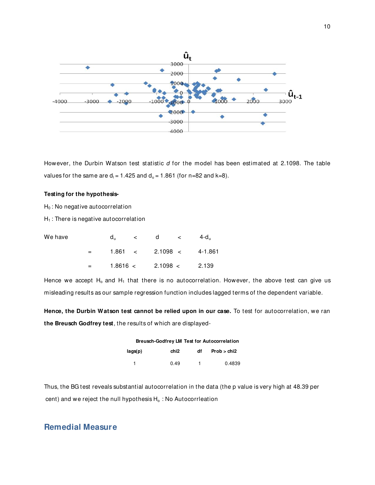

However, the Durbin Watson test statistic d for the model has been estimated at 2.1098. The table values for the same are  $d_1 = 1.425$  and  $d_0 = 1.861$  (for n=82 and k=8).

#### **Testing for the hypothesis-**

 $H_0$ : No negative autocorrelation

 $H_1$ : There is negative autocorrelation

| We have |                | d., | $\lt$ d $\lt$           | 4-d.,                      |
|---------|----------------|-----|-------------------------|----------------------------|
|         | <b>Service</b> |     |                         | $1.861$ < 2.1098 < 4-1.861 |
|         | $=$ $-$        |     | 1.8616 < 2.1098 < 2.139 |                            |

Hence we accept  $H_0$  and  $H_1$  that there is no autocorrelation. However, the above test can give us misleading results as our sample regression function includes lagged terms of the dependent variable.

**Hence, the Durbin Watson test cannot be relied upon in our case.** To test for autocorrelation, we ran **the Breusch Godfrey test**, the results of which are displayed-

|         |      | <b>Breusch-Godfrey LM Test for Autocorrelation</b> |             |  |  |
|---------|------|----------------------------------------------------|-------------|--|--|
| lags(p) | chi2 | df                                                 | Prob > chi2 |  |  |
|         | 0.49 | 1.                                                 | 0.4839      |  |  |

Thus, the BG test reveals substantial autocorrelation in the data (the p value is very high at 48.39 per cent) and we reject the null hypothesis  $H_0$ : No Autocorrleation

## **Remedial Measure**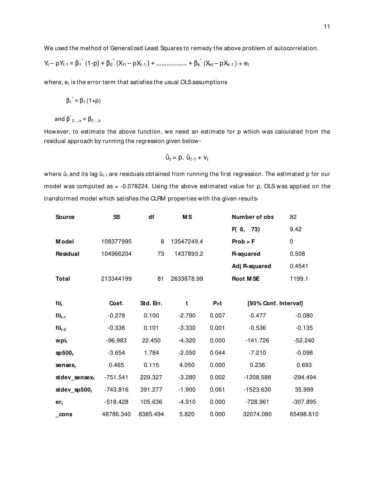We used the method of Generalized Least Squares to remedy the above problem of autocorrelation.

$$
Y_{t} - pY_{t-1} = \beta_{1}^{*}(1-p) + \beta_{2}^{*}(X_{1t} - pX_{t-1}) + \dots + \dots + \beta_{k}^{*}(X_{kt} - pX_{k-1}) + e_{t}
$$

where,  $\mathsf{e}_\mathsf{t}$  is the error term that satisfies the usual OLS assumptions

$$
\beta_1^* = \beta_1 (1+p)
$$

and  $\beta^*_{2...k} = \beta_{2...k}$ 

However, to estimate the above function, we need an estimate for p which was calculated from the residual approach by running the regression given below-

$$
\hat{u}_t = p \cdot \hat{u}_{t-1} + v_t
$$

where  $\hat{u}_t$  and its lag  $\hat{u}_{t-1}$  are residuals obtained from running the first regression. The estimated p for our model was computed as = -0.078224. Using the above estimated value for p, OLS was applied on the transformed model which satisfies the CLRM properties with the given results-

| Source             | SS         | df        | <b>MS</b>  |       | Number of obs        | 82         |  |
|--------------------|------------|-----------|------------|-------|----------------------|------------|--|
|                    |            |           |            |       | F(8, 73)             | 9.42       |  |
| <b>Model</b>       | 108377995  | 8         | 13547249.4 |       | Prob > F             | 0          |  |
| Residual           | 104966204  | 73        | 1437893.2  |       | R-squared            | 0.508      |  |
|                    |            |           |            |       | Adj R-squared        | 0.4541     |  |
| <b>Total</b>       | 213344199  | 81        | 2633878.99 |       | <b>Root MSE</b>      | 1199.1     |  |
|                    |            |           |            |       |                      |            |  |
| fii <sub>t</sub>   | Coef.      | Std. Err. | t          | P > t | [95% Conf. Interval] |            |  |
| $fii_{t-1}$        | $-0.278$   | 0.100     | $-2.790$   | 0.007 | $-0.477$             | $-0.080$   |  |
| $fii_{t-2}$        | $-0.336$   | 0.101     | $-3.330$   | 0.001 | $-0.536$             | $-0.135$   |  |
| wpit               | -96.983    | 22.450    | $-4.320$   | 0.000 | $-141.726$           | $-52.240$  |  |
| sp500 <sub>t</sub> | $-3.654$   | 1.784     | $-2.050$   | 0.044 | $-7.210$             | $-0.098$   |  |
| $sensex_t$         | 0.465      | 0.115     | 4.050      | 0.000 | 0.236                | 0.693      |  |
| stdev sensex,      | $-751.541$ | 229.327   | $-3.280$   | 0.002 | $-1208.588$          | $-294.494$ |  |
| stdev_sp $500t$    | $-743.816$ | 391.277   | $-1.900$   | 0.061 | $-1523.630$          | 35.999     |  |
| $er_t$             | $-518.428$ | 105.636   | $-4.910$   | 0.000 | $-728.961$           | $-307.895$ |  |
| cons               | 48786.340  | 8385.494  | 5.820      | 0.000 | 32074.080            | 65498.610  |  |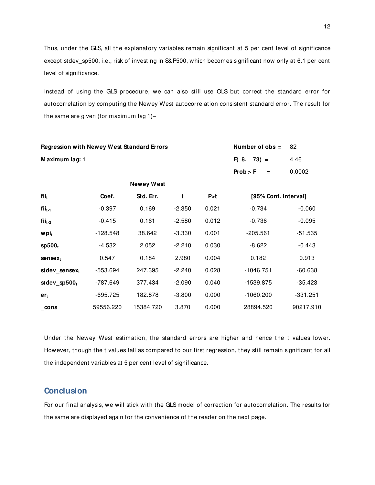Thus, under the GLS, all the explanatory variables remain significant at 5 per cent level of significance except stdev\_sp500, i.e., risk of investing in S&P500, which becomes significant now only at 6.1 per cent level of significance.

Instead of using the GLS procedure, we can also still use OLS but correct the standard error for autocorrelation by computing the Newey West autocorrelation consistent standard error. The result for the same are given (for maximum lag 1)–

| <b>Regression with Newey West Standard Errors</b> |            | Number of $obs =$ | 82       |       |                      |            |
|---------------------------------------------------|------------|-------------------|----------|-------|----------------------|------------|
| Maximum lag: 1                                    |            |                   |          |       | $F(8, 73) =$         | 4.46       |
|                                                   |            |                   |          |       | Prob > F<br>$\equiv$ | 0.0002     |
|                                                   |            | <b>Newey West</b> |          |       |                      |            |
| fii <sub>t</sub>                                  | Coef.      | Std. Err.         | t        | P > t | [95% Conf. Interval] |            |
| $fii_{t-1}$                                       | $-0.397$   | 0.169             | $-2.350$ | 0.021 | $-0.734$             | $-0.060$   |
| $fii_{t-2}$                                       | $-0.415$   | 0.161             | $-2.580$ | 0.012 | $-0.736$             | $-0.095$   |
| wpi <sub>t</sub>                                  | $-128.548$ | 38.642            | $-3.330$ | 0.001 | $-205.561$           | $-51.535$  |
| sp500 <sub>t</sub>                                | $-4.532$   | 2.052             | $-2.210$ | 0.030 | $-8.622$             | $-0.443$   |
| $sensex_t$                                        | 0.547      | 0.184             | 2.980    | 0.004 | 0.182                | 0.913      |
| stdev_sensext                                     | -553.694   | 247.395           | $-2.240$ | 0.028 | $-1046.751$          | $-60.638$  |
| st dev_sp $500t$                                  | -787.649   | 377.434           | $-2.090$ | 0.040 | -1539.875            | $-35.423$  |
| $er_t$                                            | -695.725   | 182.878           | $-3.800$ | 0.000 | $-1060.200$          | $-331.251$ |
| $\_cons$                                          | 59556.220  | 15384.720         | 3.870    | 0.000 | 28894.520            | 90217.910  |

Under the Newey West estimation, the standard errors are higher and hence the t values lower. However, though the t values fall as compared to our first regression, they still remain significant for all the independent variables at 5 per cent level of significance.

## **Conclusion**

For our final analysis, we will stick with the GLS model of correction for autocorrelation. The results for the same are displayed again for the convenience of the reader on the next page.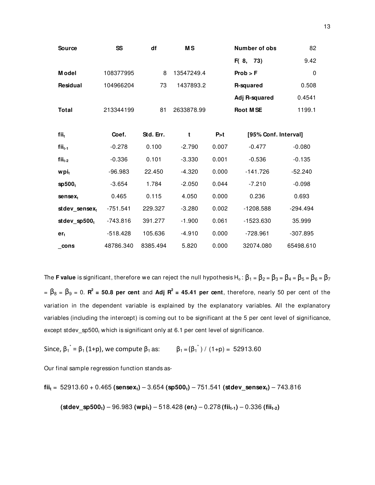| <b>Source</b>      | SS         | df        | <b>MS</b>  |       | <b>Number of obs</b> | 82         |
|--------------------|------------|-----------|------------|-------|----------------------|------------|
|                    |            |           |            |       | F(8, 73)             | 9.42       |
| <b>Model</b>       | 108377995  | 8         | 13547249.4 |       | Prob > F             | 0          |
| <b>Residual</b>    | 104966204  | 73        | 1437893.2  |       | R-squared            | 0.508      |
|                    |            |           |            |       | Adj R-squared        | 0.4541     |
| <b>Total</b>       | 213344199  | 81        | 2633878.99 |       | <b>Root MSE</b>      | 1199.1     |
|                    |            |           |            |       |                      |            |
| fii <sub>t</sub>   | Coef.      | Std. Err. | t          | P>t   | [95% Conf. Interval] |            |
| $fii_{t-1}$        | $-0.278$   | 0.100     | $-2.790$   | 0.007 | $-0.477$             | $-0.080$   |
| $fii_{t-2}$        | $-0.336$   | 0.101     | $-3.330$   | 0.001 | $-0.536$             | $-0.135$   |
| wpit               | $-96.983$  | 22.450    | $-4.320$   | 0.000 | $-141.726$           | $-52.240$  |
| sp500 <sub>t</sub> | $-3.654$   | 1.784     | $-2.050$   | 0.044 | $-7.210$             | $-0.098$   |
| $sensex_t$         | 0.465      | 0.115     | 4.050      | 0.000 | 0.236                | 0.693      |
| stdev sensex,      | $-751.541$ | 229.327   | $-3.280$   | 0.002 | $-1208.588$          | $-294.494$ |
| st dev_sp $500t$   | $-743.816$ | 391.277   | $-1.900$   | 0.061 | $-1523.630$          | 35.999     |
| $er_t$             | $-518.428$ | 105.636   | $-4.910$   | 0.000 | $-728.961$           | $-307.895$ |
| cons               | 48786.340  | 8385.494  | 5.820      | 0.000 | 32074.080            | 65498.610  |

The **F value** is significant, therefore we can reject the null hypothesis H<sub>o</sub>:  $\beta_1 = \beta_2 = \beta_3 = \beta_4 = \beta_5 = \beta_6 = \beta_7$  $= \beta_8 = \beta_9 = 0$ . **R<sup>2</sup>** = 50.8 per cent and Adj **R<sup>2</sup>** = 45.41 per cent, therefore, nearly 50 per cent of the variation in the dependent variable is explained by the explanatory variables. All the explanatory variables (including the intercept) is coming out to be significant at the 5 per cent level of significance, except stdev\_sp500 $_{\rm t}$  which is significant only at 6.1 per cent level of significance.

Since, 
$$
\beta_1^* = \beta_1 (1+p)
$$
, we compute  $\beta_1$  as:  $\beta_1 = (\beta_1^*) / (1+p) = 52913.60$ 

Our final sample regression function stands as-

$$
fii_t = 52913.60 + 0.465
$$
 (sensex<sub>t</sub>) – 3.654 (sp500<sub>t</sub>) – 751.541 (stdev\_sensex<sub>t</sub>) – 743.816

**(stdev\_sp500t)** – 96.983 **(wpit)** – 518.428 **(ert)** – 0.278 **(fiit-1)** – 0.336 **(fiit-2)**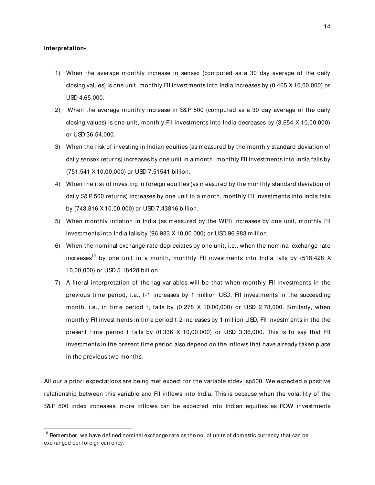#### **Interpretation-**

-

- 1) When the average monthly increase in sensex (computed as a 30 day average of the daily closing values) is one unit, monthly FII investments into India increases by (0.465 X 10,00,000) or USD 4,65,000.
- 2) When the average monthly increase in S&P 500 (computed as a 30 day average of the daily closing values) is one unit, monthly FII investments into India decreases by (3.654 X 10,00,000) or USD 36,54,000.
- 3) When the risk of investing in Indian equities (as measured by the monthly standard deviation of daily sensex returns) increases by one unit in a month, monthly FII investments into India falls by (751.541 X 10,00,000) or USD 7.51541 billion.
- 4) When the risk of investing in foreign equities (as measured by the monthly standard deviation of daily S&P 500 returns) increases by one unit in a month, monthly FII investments into India falls by (743.816 X 10,00,000) or USD 7.43816 billion.
- 5) When monthly inflation in India (as measured by the WPI) increases by one unit, monthly FII investments into India falls by (96.983 X 10,00,000) or USD 96.983 million.
- 6) When the nominal exchange rate depreciates by one unit, i.e., when the nominal exchange rate increases<sup>10</sup> by one unit in a month, monthly FII investments into India falls by (518.428 X) 10,00,000) or USD 5.18428 billion.
- 7) A literal interpretation of the lag variables will be that when monthly FII investments in the previous time period, i.e., t-1 increases by 1 million USD, FII investments in the succeeding month, i.e., in time period t, falls by  $(0.278 \times 10,00,000)$  or USD 2,78,000. Similarly, when monthly FII investments in time period t-2 increases by 1 million USD, FII investments in the the present time period t falls by (0.336 X 10,00,000) or USD 3,36,000. This is to say that FII investments in the present time period also depend on the inflows that have already taken place in the previous two months.

All our a priori expectations are being met expect for the variable stdev\_sp500. We expected a positive relationship between this variable and FII inflows into India. This is because when the volatility of the S&P 500 index increases, more inflows can be expected into Indian equities as ROW investments

 $^{10}$  Remember, we have defined nominal exchange rate as the no. of units of domestic currency that can be exchanged per foreign currency.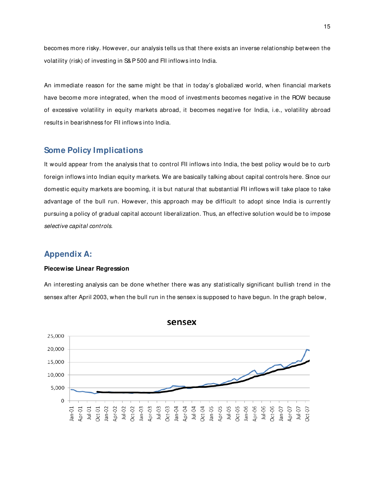becomes more risky. However, our analysis tells us that there exists an inverse relationship between the volatility (risk) of investing in S&P 500 and FII inflows into India.

An immediate reason for the same might be that in today's globalized world, when financial markets have become more integrated, when the mood of investments becomes negative in the ROW because of excessive volatility in equity markets abroad, it becomes negative for India, i.e., volatility abroad results in bearishness for FII inflows into India.

## **Some Policy Implications**

It would appear from the analysis that to control FII inflows into India, the best policy would be to curb foreign inflows into Indian equity markets. We are basically talking about capital controls here. Since our domestic equity markets are booming, it is but natural that substantial FII inflows will take place to take advantage of the bull run. However, this approach may be difficult to adopt since India is currently pursuing a policy of gradual capital account liberalization. Thus, an effective solution would be to impose selective capital controls.

## **Appendix A:**

### **Piecewise Linear Regression**

An interesting analysis can be done whether there was any statistically significant bullish trend in the sensex after April 2003, when the bull run in the sensex is supposed to have begun. In the graph below,



sensex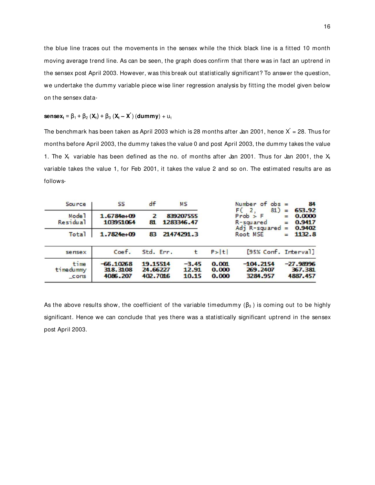the blue line traces out the movements in the sensex while the thick black line is a fitted 10 month moving average trend line. As can be seen, the graph does confirm that there was in fact an uptrend in the sensex post April 2003. However, was this break out statistically significant? To answer the question, we undertake the dummy variable piece wise liner regression analysis by fitting the model given below on the sensex data-

## **sensex**<sub>t</sub> =  $\beta_1$  +  $\beta_2$  (**X**<sub>t</sub>) +  $\beta_3$  (**X**<sub>t</sub> – **X**<sup>\*</sup>) (**dummy**) +  $u_t$

The benchmark has been taken as April 2003 which is 28 months after Jan 2001, hence  $X^* = 28$ . Thus for months before April 2003, the dummy takes the value 0 and post April 2003, the dummy takes the value 1. The X<sub>t</sub> variable has been defined as the no. of months after Jan 2001. Thus for Jan 2001, the X<sub>t</sub> variable takes the value 1, for Feb 2001, it takes the value 2 and so on. The estimated results are as follows-

| Source                        | SS                                  | df                               | <b>MS</b>                 |                         | Number of $obs =$                                       |                        | 84                                   |
|-------------------------------|-------------------------------------|----------------------------------|---------------------------|-------------------------|---------------------------------------------------------|------------------------|--------------------------------------|
| Mode <sup>1</sup><br>Residual | $1.6784e + 09$<br>103951064         | 2<br>81                          | 839207555<br>1283346.47   |                         | 81)<br>2.<br>$Prob$ > $F$<br>R-squared<br>Adj R-squared | =<br>$=$<br>$=$<br>$=$ | 653.92<br>0.0000<br>0.9417<br>0.9402 |
| <b>Total</b>                  | $1.7824e+09$                        | 83                               | 21474291.3                |                         | Root MSE                                                | $=$                    | 1132.8                               |
| sensex                        | Coef.                               | Std. Err.                        | t                         | P >  t                  | [95% Conf. Interval]                                    |                        |                                      |
| time<br>timedummy<br>cons     | $-66.10268$<br>318.3108<br>4086,207 | 19.15514<br>24.66227<br>402,7016 | $-3.45$<br>12.91<br>10.15 | 0.001<br>0.000<br>0.000 | $-104.2154$<br>269,2407<br>3284.957                     |                        | $-27.98996$<br>367.381<br>4887.457   |

As the above results show, the coefficient of the variable timedummy  $(\beta_3)$  is coming out to be highly significant. Hence we can conclude that yes there was a statistically significant uptrend in the sensex post April 2003.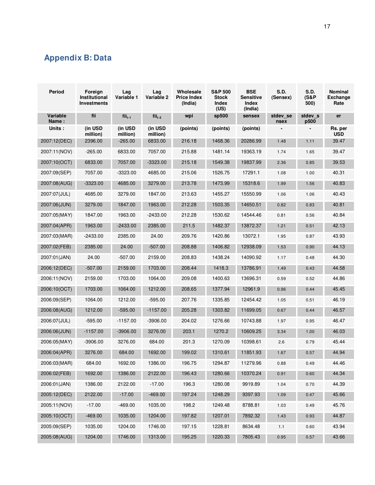## **Appendix B: Data**

| Period            | Foreign<br>Institutional<br><b>Investments</b> | Lag<br>Variable 1   | Lag<br>Variable 2   | Wholesale<br><b>Price Index</b><br>(India) | <b>S&amp;P 500</b><br><b>Stock</b><br>Index<br>(US) | <b>BSE</b><br><b>Sensitive</b><br>Index<br>(India) | S.D.<br>(Sensex) | S.D.<br>(S&P<br>500) | Nominal<br><b>Exchange</b><br>Rate |
|-------------------|------------------------------------------------|---------------------|---------------------|--------------------------------------------|-----------------------------------------------------|----------------------------------------------------|------------------|----------------------|------------------------------------|
| Variable<br>Name: | fii                                            | $fii_{t-1}$         | $fii_{t-2}$         | wpi                                        | sp500                                               | sensex                                             | stdev_se<br>nsex | stdev s<br>p500      | er                                 |
| Units:            | (in USD<br>million)                            | (in USD<br>million) | (in USD<br>million) | (points)                                   | (points)                                            | (points)                                           |                  |                      | Rs. per<br><b>USD</b>              |
| 2007:12(DEC)      | 2396.00                                        | $-265.00$           | 6833.00             | 216.18                                     | 1468.36                                             | 20286.99                                           | 1.48             | 1.11                 | 39.47                              |
| 2007:11(NOV)      | $-265.00$                                      | 6833.00             | 7057.00             | 215.88                                     | 1481.14                                             | 19363.19                                           | 1.74             | 1.65                 | 39.47                              |
| 2007:10(OCT)      | 6833.00                                        | 7057.00             | $-3323.00$          | 215.18                                     | 1549.38                                             | 19837.99                                           | 2.36             | 0.85                 | 39.53                              |
| 2007:09(SEP)      | 7057.00                                        | $-3323.00$          | 4685.00             | 215.06                                     | 1526.75                                             | 17291.1                                            | 1.08             | 1.00                 | 40.31                              |
| 2007:08(AUG)      | $-3323.00$                                     | 4685.00             | 3279.00             | 213.78                                     | 1473.99                                             | 15318.6                                            | 1.99             | 1.56                 | 40.83                              |
| 2007:07(JUL)      | 4685.00                                        | 3279.00             | 1847.00             | 213.63                                     | 1455.27                                             | 15550.99                                           | 1.06             | 1.06                 | 40.43                              |
| 2007:06(JUN)      | 3279.00                                        | 1847.00             | 1963.00             | 212.28                                     | 1503.35                                             | 14650.51                                           | 0.82             | 0.83                 | 40.81                              |
| 2007:05(MAY)      | 1847.00                                        | 1963.00             | $-2433.00$          | 212.28                                     | 1530.62                                             | 14544.46                                           | 0.81             | 0.56                 | 40.84                              |
| 2007:04(APR)      | 1963.00                                        | $-2433.00$          | 2385.00             | 211.5                                      | 1482.37                                             | 13872.37                                           | 1.21             | 0.51                 | 42.13                              |
| 2007:03(MAR)      | $-2433.00$                                     | 2385.00             | 24.00               | 209.76                                     | 1420.86                                             | 13072.1                                            | 1.95             | 0.87                 | 43.93                              |
| 2007:02(FEB)      | 2385.00                                        | 24.00               | $-507.00$           | 208.88                                     | 1406.82                                             | 12938.09                                           | 1.53             | 0.90                 | 44.13                              |
| 2007:01(JAN)      | 24.00                                          | -507.00             | 2159.00             | 208.83                                     | 1438.24                                             | 14090.92                                           | 1.17             | 0.48                 | 44.30                              |
| 2006:12(DEC)      | $-507.00$                                      | 2159.00             | 1703.00             | 208.44                                     | 1418.3                                              | 13786.91                                           | 1.49             | 0.43                 | 44.58                              |
| 2006:11(NOV)      | 2159.00                                        | 1703.00             | 1064.00             | 209.08                                     | 1400.63                                             | 13696.31                                           | 0.59             | 0.52                 | 44.86                              |
| 2006:10(OCT)      | 1703.00                                        | 1064.00             | 1212.00             | 208.65                                     | 1377.94                                             | 12961.9                                            | 0.96             | 0.44                 | 45.45                              |
| 2006:09(SEP)      | 1064.00                                        | 1212.00             | $-595.00$           | 207.76                                     | 1335.85                                             | 12454.42                                           | 1.05             | 0.51                 | 46.19                              |
| 2006:08(AUG)      | 1212.00                                        | -595.00             | $-1157.00$          | 205.28                                     | 1303.82                                             | 11699.05                                           | 0.67             | 0.44                 | 46.57                              |
| 2006:07(JUL)      | $-595.00$                                      | $-1157.00$          | $-3906.00$          | 204.02                                     | 1276.66                                             | 10743.88                                           | 1.97             | 0.95                 | 46.47                              |
| 2006:06(JUN)      | $-1157.00$                                     | $-3906.00$          | 3276.00             | 203.1                                      | 1270.2                                              | 10609.25                                           | 3.34             | 1.00                 | 46.03                              |
| 2006:05(MAY)      | $-3906.00$                                     | 3276.00             | 684.00              | 201.3                                      | 1270.09                                             | 10398.61                                           | 2.6              | 0.79                 | 45.44                              |
| 2006:04(APR)      | 3276.00                                        | 684.00              | 1692.00             | 199.02                                     | 1310.61                                             | 11851.93                                           | 1.67             | 0.57                 | 44.94                              |
| 2006:03(MAR)      | 684.00                                         | 1692.00             | 1386.00             | 196.75                                     | 1294.87                                             | 11279.96                                           | 0.88             | 0.49                 | 44.46                              |
| 2006:02(FEB)      | 1692.00                                        | 1386.00             | 2122.00             | 196.43                                     | 1280.66                                             | 10370.24                                           | 0.91             | 0.60                 | 44.34                              |
| 2006:01(JAN)      | 1386.00                                        | 2122.00             | $-17.00$            | 196.3                                      | 1280.08                                             | 9919.89                                            | 1.04             | 0.70                 | 44.39                              |
| 2005:12(DEC)      | 2122.00                                        | $-17.00$            | $-469.00$           | 197.24                                     | 1248.29                                             | 9397.93                                            | 1.09             | 0.47                 | 45.66                              |
| 2005:11(NOV)      | $-17.00$                                       | -469.00             | 1035.00             | 198.2                                      | 1249.48                                             | 8788.81                                            | 1.03             | 0.49                 | 45.76                              |
| 2005:10(OCT)      | $-469.00$                                      | 1035.00             | 1204.00             | 197.82                                     | 1207.01                                             | 7892.32                                            | 1.43             | 0.93                 | 44.87                              |
| 2005:09(SEP)      | 1035.00                                        | 1204.00             | 1746.00             | 197.15                                     | 1228.81                                             | 8634.48                                            | 1.1              | 0.60                 | 43.94                              |
| 2005:08(AUG)      | 1204.00                                        | 1746.00             | 1313.00             | 195.25                                     | 1220.33                                             | 7805.43                                            | 0.95             | 0.57                 | 43.66                              |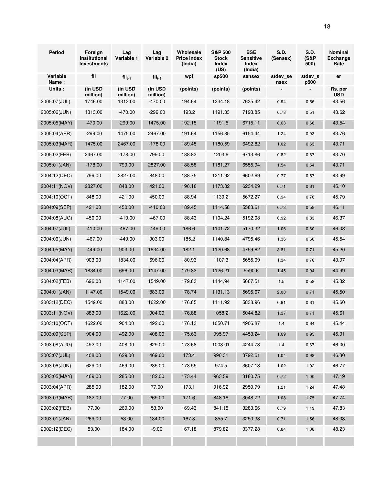| <b>Period</b>     | Foreign<br>Institutional<br><b>Investments</b> | Lag<br>Variable 1   | Lag<br>Variable 2   | Wholesale<br><b>Price Index</b><br>(India) | <b>S&amp;P 500</b><br><b>Stock</b><br>Index<br>(US) | <b>BSE</b><br><b>Sensitive</b><br>Index<br>(India) | <b>S.D.</b><br>(Sensex) | <b>S.D.</b><br>(S&P<br>500) | Nominal<br><b>Exchange</b><br>Rate |
|-------------------|------------------------------------------------|---------------------|---------------------|--------------------------------------------|-----------------------------------------------------|----------------------------------------------------|-------------------------|-----------------------------|------------------------------------|
| Variable<br>Name: | fii                                            | $fii_{t-1}$         | $fii_{t-2}$         | wpi                                        | sp500                                               | sensex                                             | stdev se<br>nsex        | stdev s<br>p500             | er                                 |
| Units:            | (in USD<br>million)                            | (in USD<br>million) | (in USD<br>million) | (points)                                   | (points)                                            | (points)                                           |                         |                             | Rs. per<br><b>USD</b>              |
| 2005:07(JUL)      | 1746.00                                        | 1313.00             | $-470.00$           | 194.64                                     | 1234.18                                             | 7635.42                                            | 0.94                    | 0.56                        | 43.56                              |
| 2005:06(JUN)      | 1313.00                                        | $-470.00$           | $-299.00$           | 193.2                                      | 1191.33                                             | 7193.85                                            | 0.78                    | 0.51                        | 43.62                              |
| 2005:05(MAY)      | $-470.00$                                      | $-299.00$           | 1475.00             | 192.15                                     | 1191.5                                              | 6715.11                                            | 0.63                    | 0.66                        | 43.54                              |
| 2005:04(APR)      | $-299.00$                                      | 1475.00             | 2467.00             | 191.64                                     | 1156.85                                             | 6154.44                                            | 1.24                    | 0.93                        | 43.76                              |
| 2005:03(MAR)      | 1475.00                                        | 2467.00             | $-178.00$           | 189.45                                     | 1180.59                                             | 6492.82                                            | 1.02                    | 0.63                        | 43.71                              |
| 2005:02(FEB)      | 2467.00                                        | $-178.00$           | 799.00              | 188.83                                     | 1203.6                                              | 6713.86                                            | 0.82                    | 0.67                        | 43.70                              |
| 2005:01(JAN)      | $-178.00$                                      | 799.00              | 2827.00             | 188.58                                     | 1181.27                                             | 6555.94                                            | 1.54                    | 0.64                        | 43.71                              |
| 2004:12(DEC)      | 799.00                                         | 2827.00             | 848.00              | 188.75                                     | 1211.92                                             | 6602.69                                            | 0.77                    | 0.57                        | 43.99                              |
| 2004:11(NOV)      | 2827.00                                        | 848.00              | 421.00              | 190.18                                     | 1173.82                                             | 6234.29                                            | 0.71                    | 0.61                        | 45.10                              |
| 2004:10(OCT)      | 848.00                                         | 421.00              | 450.00              | 188.94                                     | 1130.2                                              | 5672.27                                            | 0.94                    | 0.76                        | 45.79                              |
| 2004:09(SEP)      | 421.00                                         | 450.00              | $-410.00$           | 189.45                                     | 1114.58                                             | 5583.61                                            | 0.73                    | 0.58                        | 46.11                              |
| 2004:08(AUG)      | 450.00                                         | $-410.00$           | -467.00             | 188.43                                     | 1104.24                                             | 5192.08                                            | 0.92                    | 0.83                        | 46.37                              |
| 2004:07(JUL)      | $-410.00$                                      | $-467.00$           | $-449.00$           | 186.6                                      | 1101.72                                             | 5170.32                                            | 1.06                    | 0.60                        | 46.08                              |
| 2004:06(JUN)      | $-467.00$                                      | -449.00             | 903.00              | 185.2                                      | 1140.84                                             | 4795.46                                            | 1.36                    | 0.60                        | 45.54                              |
| 2004:05(MAY)      | $-449.00$                                      | 903.00              | 1834.00             | 182.1                                      | 1120.68                                             | 4759.62                                            | 3.81                    | 0.71                        | 45.20                              |
| 2004:04(APR)      | 903.00                                         | 1834.00             | 696.00              | 180.93                                     | 1107.3                                              | 5655.09                                            | 1.34                    | 0.76                        | 43.97                              |
| 2004:03(MAR)      | 1834.00                                        | 696.00              | 1147.00             | 179.83                                     | 1126.21                                             | 5590.6                                             | 1.45                    | 0.94                        | 44.99                              |
| 2004:02(FEB)      | 696.00                                         | 1147.00             | 1549.00             | 179.83                                     | 1144.94                                             | 5667.51                                            | 1.5                     | 0.58                        | 45.32                              |
| 2004:01(JAN)      | 1147.00                                        | 1549.00             | 883.00              | 178.74                                     | 1131.13                                             | 5695.67                                            | 2.08                    | 0.71                        | 45.50                              |
| 2003:12(DEC)      | 1549.00                                        | 883.00              | 1622.00             | 176.85                                     | 1111.92                                             | 5838.96                                            | 0.91                    | 0.61                        | 45.60                              |
| 2003:11(NOV)      | 883.00                                         | 1622.00             | 904.00              | 176.88                                     | 1058.2                                              | 5044.82                                            | 1.37                    | 0.71                        | 45.61                              |
| 2003:10(OCT)      | 1622.00                                        | 904.00              | 492.00              | 176.13                                     | 1050.71                                             | 4906.87                                            | 1.4                     | 0.64                        | 45.44                              |
| 2003:09(SEP)      | 904.00                                         | 492.00              | 408.00              | 175.63                                     | 995.97                                              | 4453.24                                            | 1.69                    | 0.95                        | 45.91                              |
| 2003:08(AUG)      | 492.00                                         | 408.00              | 629.00              | 173.68                                     | 1008.01                                             | 4244.73                                            | $1.4$                   | 0.67                        | 46.00                              |
| 2003:07(JUL)      | 408.00                                         | 629.00              | 469.00              | 173.4                                      | 990.31                                              | 3792.61                                            | 1.04                    | 0.98                        | 46.30                              |
| 2003:06(JUN)      | 629.00                                         | 469.00              | 285.00              | 173.55                                     | 974.5                                               | 3607.13                                            | 1.02                    | 1.02                        | 46.77                              |
| 2003:05(MAY)      | 469.00                                         | 285.00              | 182.00              | 173.44                                     | 963.59                                              | 3180.75                                            | 0.72                    | 1.00                        | 47.19                              |
| 2003:04(APR)      | 285.00                                         | 182.00              | 77.00               | 173.1                                      | 916.92                                              | 2959.79                                            | 1.21                    | 1.24                        | 47.48                              |
| 2003:03(MAR)      | 182.00                                         | 77.00               | 269.00              | 171.6                                      | 848.18                                              | 3048.72                                            | 1.08                    | 1.75                        | 47.74                              |
| 2003:02(FEB)      | 77.00                                          | 269.00              | 53.00               | 169.43                                     | 841.15                                              | 3283.66                                            | 0.79                    | 1.19                        | 47.83                              |
| 2003:01 (JAN)     | 269.00                                         | 53.00               | 184.00              | 167.8                                      | 855.7                                               | 3250.38                                            | 0.71                    | 1.56                        | 48.03                              |
| 2002:12(DEC)      | 53.00                                          | 184.00              | $-9.00$             | 167.18                                     | 879.82                                              | 3377.28                                            | 0.84                    | 1.08                        | 48.23                              |
|                   |                                                |                     |                     |                                            |                                                     |                                                    |                         |                             |                                    |